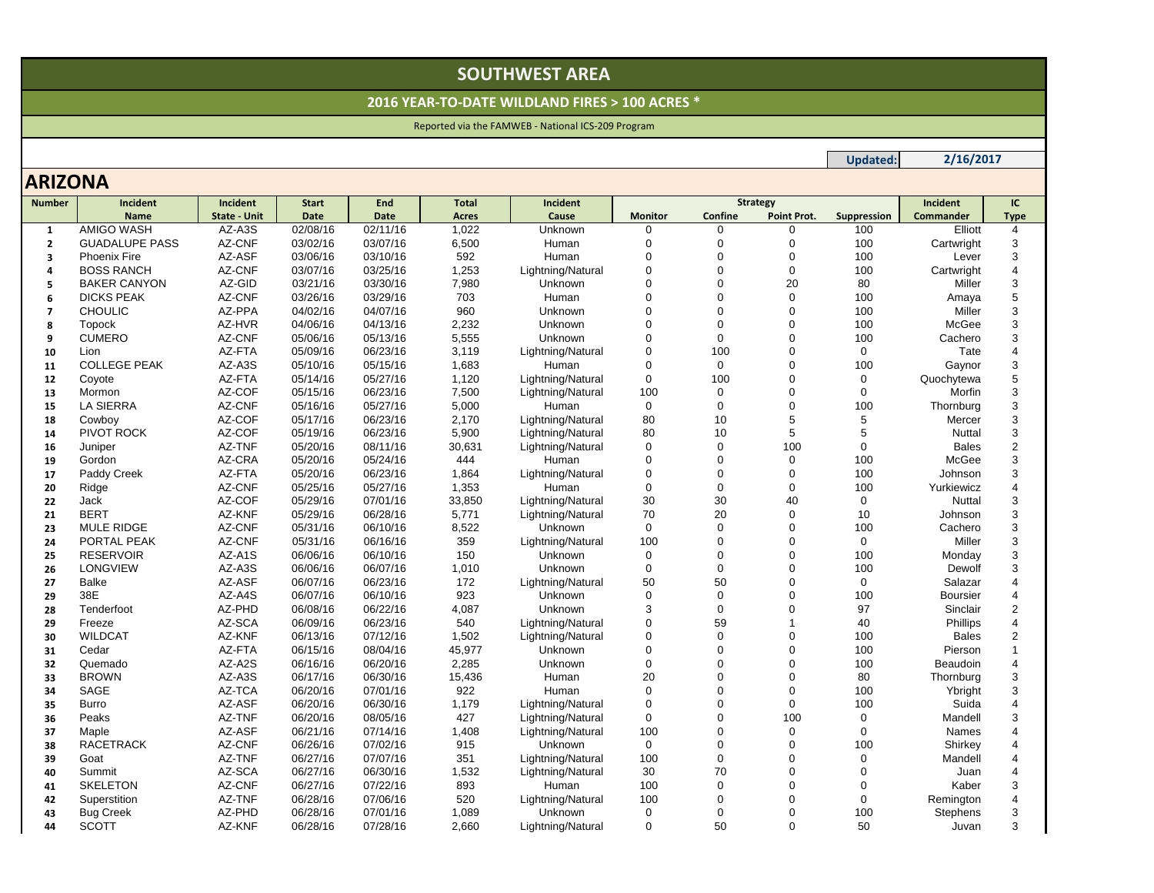# **SOUTHWEST AREA**

### **2016 YEAR‐TO‐DATE WILDLAND FIRES <sup>&</sup>gt; 100 ACRES \***

## Reported via the FAMWEB ‐ National ICS‐209 Program

## **ARIZONA**

| <b>Number</b>  | Incident              | Incident            | <b>Start</b> | End         | <b>Total</b> | Incident          | <b>Strategy</b> |             |             | Incident    | IC.              |                       |
|----------------|-----------------------|---------------------|--------------|-------------|--------------|-------------------|-----------------|-------------|-------------|-------------|------------------|-----------------------|
|                | <b>Name</b>           | <b>State - Unit</b> | <b>Date</b>  | <b>Date</b> | Acres        | Cause             | <b>Monitor</b>  | Confine     | Point Prot. | Suppression | <b>Commander</b> | <b>Type</b>           |
| 1              | <b>AMIGO WASH</b>     | AZ-A3S              | 02/08/16     | 02/11/16    | 1,022        | Unknown           | $\Omega$        | 0           | 0           | 100         | Elliott          | 4                     |
| $\overline{2}$ | <b>GUADALUPE PASS</b> | AZ-CNF              | 03/02/16     | 03/07/16    | 6,500        | Human             | $\Omega$        | $\mathbf 0$ | $\Omega$    | 100         | Cartwright       | 3                     |
| 3              | Phoenix Fire          | AZ-ASF              | 03/06/16     | 03/10/16    | 592          | Human             | $\Omega$        | 0           | $\Omega$    | 100         | Lever            | 3                     |
| 4              | <b>BOSS RANCH</b>     | AZ-CNF              | 03/07/16     | 03/25/16    | 1,253        | Lightning/Natural | $\Omega$        | $\mathbf 0$ | $\mathbf 0$ | 100         | Cartwright       | $\overline{4}$        |
| 5              | <b>BAKER CANYON</b>   | AZ-GID              | 03/21/16     | 03/30/16    | 7,980        | Unknown           | $\Omega$        | $\Omega$    | 20          | 80          | Miller           | 3                     |
| 6              | <b>DICKS PEAK</b>     | AZ-CNF              | 03/26/16     | 03/29/16    | 703          | Human             | $\Omega$        | $\Omega$    | $\mathbf 0$ | 100         | Amaya            | 5                     |
| $\overline{7}$ | <b>CHOULIC</b>        | AZ-PPA              | 04/02/16     | 04/07/16    | 960          | Unknown           | $\Omega$        | 0           | $\Omega$    | 100         | Miller           | 3                     |
| 8              | Topock                | AZ-HVR              | 04/06/16     | 04/13/16    | 2,232        | Unknown           | $\Omega$        | $\mathbf 0$ | $\Omega$    | 100         | McGee            | 3                     |
| 9              | <b>CUMERO</b>         | AZ-CNF              | 05/06/16     | 05/13/16    | 5,555        | Unknown           | $\Omega$        | $\mathbf 0$ | $\Omega$    | 100         | Cachero          | 3                     |
| 10             | Lion                  | AZ-FTA              | 05/09/16     | 06/23/16    | 3,119        | Lightning/Natural | $\mathbf 0$     | 100         | $\Omega$    | $\mathbf 0$ | Tate             | 4                     |
| 11             | <b>COLLEGE PEAK</b>   | AZ-A3S              | 05/10/16     | 05/15/16    | 1,683        | Human             | $\mathbf 0$     | $\mathbf 0$ | $\Omega$    | 100         | Gaynor           | 3                     |
| 12             | Coyote                | AZ-FTA              | 05/14/16     | 05/27/16    | 1,120        | Lightning/Natural | $\mathbf 0$     | 100         | $\Omega$    | $\mathbf 0$ | Quochytewa       | 5                     |
| 13             | Mormon                | AZ-COF              | 05/15/16     | 06/23/16    | 7,500        | Lightning/Natural | 100             | 0           | $\Omega$    | $\Omega$    | Morfin           | 3                     |
| 15             | <b>LA SIERRA</b>      | AZ-CNF              | 05/16/16     | 05/27/16    | 5,000        | Human             | $\mathbf 0$     | $\mathbf 0$ | $\Omega$    | 100         | Thornburg        | 3                     |
| 18             | Cowboy                | AZ-COF              | 05/17/16     | 06/23/16    | 2,170        | Lightning/Natural | 80              | 10          | 5           | 5           | Mercer           | 3                     |
| 14             | PIVOT ROCK            | AZ-COF              | 05/19/16     | 06/23/16    | 5,900        | Lightning/Natural | 80              | 10          | 5           | 5           | Nuttal           | 3                     |
| 16             | Juniper               | AZ-TNF              | 05/20/16     | 08/11/16    | 30,631       | Lightning/Natural | $\mathbf 0$     | $\mathbf 0$ | 100         | $\mathbf 0$ | <b>Bales</b>     | $\overline{2}$        |
| 19             | Gordon                | AZ-CRA              | 05/20/16     | 05/24/16    | 444          | Human             | $\Omega$        | $\Omega$    | 0           | 100         | McGee            | 3                     |
| 17             | Paddy Creek           | AZ-FTA              | 05/20/16     | 06/23/16    | 1,864        | Lightning/Natural | $\Omega$        | $\mathbf 0$ | $\Omega$    | 100         | Johnson          | 3                     |
| 20             | Ridge                 | AZ-CNF              | 05/25/16     | 05/27/16    | 1,353        | Human             | $\Omega$        | $\Omega$    | $\Omega$    | 100         | Yurkiewicz       | $\boldsymbol{\Delta}$ |
| 22             | Jack                  | AZ-COF              | 05/29/16     | 07/01/16    | 33,850       | Lightning/Natural | 30              | 30          | 40          | $\mathbf 0$ | Nuttal           | 3                     |
| 21             | <b>BERT</b>           | AZ-KNF              | 05/29/16     | 06/28/16    | 5,771        | Lightning/Natural | 70              | 20          | $\Omega$    | 10          | Johnson          | 3                     |
| 23             | <b>MULE RIDGE</b>     | AZ-CNF              | 05/31/16     | 06/10/16    | 8,522        | Unknown           | $\mathbf 0$     | $\mathbf 0$ | $\Omega$    | 100         | Cachero          | 3                     |
| 24             | PORTAL PEAK           | AZ-CNF              | 05/31/16     | 06/16/16    | 359          | Lightning/Natural | 100             | $\Omega$    | $\Omega$    | $\mathbf 0$ | Miller           | 3                     |
| 25             | <b>RESERVOIR</b>      | AZ-A1S              | 06/06/16     | 06/10/16    | 150          | Unknown           | $\Omega$        | $\Omega$    | $\Omega$    | 100         | Monday           | 3                     |
| 26             | LONGVIEW              | AZ-A3S              | 06/06/16     | 06/07/16    | 1,010        | Unknown           | $\mathbf 0$     | $\mathbf 0$ | $\Omega$    | 100         | Dewolf           | 3                     |
| 27             | <b>Balke</b>          | AZ-ASF              | 06/07/16     | 06/23/16    | 172          | Lightning/Natural | 50              | 50          | $\Omega$    | $\mathbf 0$ | Salazar          | $\boldsymbol{\Delta}$ |
| 29             | 38E                   | AZ-A4S              | 06/07/16     | 06/10/16    | 923          | Unknown           | $\mathbf 0$     | $\mathbf 0$ | $\Omega$    | 100         | <b>Boursier</b>  | $\overline{4}$        |
| 28             | Tenderfoot            | AZ-PHD              | 06/08/16     | 06/22/16    | 4,087        | Unknown           | 3               | $\Omega$    | $\Omega$    | 97          | Sinclair         | $\overline{2}$        |
| 29             | Freeze                | AZ-SCA              | 06/09/16     | 06/23/16    | 540          | Lightning/Natural | $\Omega$        | 59          | 1           | 40          | Phillips         | $\overline{4}$        |
| 30             | <b>WILDCAT</b>        | AZ-KNF              | 06/13/16     | 07/12/16    | 1,502        | Lightning/Natural | $\mathbf 0$     | $\Omega$    | $\Omega$    | 100         | <b>Bales</b>     | $\overline{2}$        |
| 31             | Cedar                 | AZ-FTA              | 06/15/16     | 08/04/16    | 45,977       | Unknown           | $\Omega$        | 0           | $\Omega$    | 100         | Pierson          |                       |
| 32             | Quemado               | AZ-A2S              | 06/16/16     | 06/20/16    | 2,285        | Unknown           | $\mathbf 0$     | $\mathbf 0$ | $\Omega$    | 100         | Beaudoin         | $\overline{4}$        |
| 33             | <b>BROWN</b>          | AZ-A3S              | 06/17/16     | 06/30/16    | 15,436       | Human             | 20              | $\mathbf 0$ | $\Omega$    | 80          | Thornburg        | 3                     |
| 34             | SAGE                  | AZ-TCA              | 06/20/16     | 07/01/16    | 922          | Human             | $\mathbf 0$     | $\mathbf 0$ | $\Omega$    | 100         | Ybright          | 3                     |
| 35             | Burro                 | AZ-ASF              | 06/20/16     | 06/30/16    | 1,179        | Lightning/Natural | $\mathbf 0$     | $\Omega$    | $\Omega$    | 100         | Suida            | $\overline{4}$        |
| 36             | Peaks                 | AZ-TNF              | 06/20/16     | 08/05/16    | 427          | Lightning/Natural | $\Omega$        | $\Omega$    | 100         | $\Omega$    | Mandell          | 3                     |
| 37             | Maple                 | AZ-ASF              | 06/21/16     | 07/14/16    | 1,408        | Lightning/Natural | 100             | $\mathbf 0$ | $\mathbf 0$ | $\mathbf 0$ | Names            | $\boldsymbol{\Delta}$ |
| 38             | <b>RACETRACK</b>      | AZ-CNF              | 06/26/16     | 07/02/16    | 915          | Unknown           | $\mathbf 0$     | $\mathbf 0$ | $\Omega$    | 100         | Shirkey          | $\overline{4}$        |
| 39             | Goat                  | AZ-TNF              | 06/27/16     | 07/07/16    | 351          | Lightning/Natural | 100             | 0           | $\Omega$    | $\mathbf 0$ | Mandell          | $\overline{4}$        |
| 40             | Summit                | AZ-SCA              | 06/27/16     | 06/30/16    | 1,532        | Lightning/Natural | 30              | 70          | $\Omega$    | $\Omega$    | Juan             | $\overline{4}$        |
| 41             | <b>SKELETON</b>       | AZ-CNF              | 06/27/16     | 07/22/16    | 893          | Human             | 100             | $\Omega$    | $\Omega$    | $\Omega$    | Kaber            | 3                     |
| 42             | Superstition          | AZ-TNF              | 06/28/16     | 07/06/16    | 520          | Lightning/Natural | 100             | $\mathbf 0$ | 0           | $\mathbf 0$ | Remington        | $\overline{4}$        |
| 43             | <b>Bug Creek</b>      | AZ-PHD              | 06/28/16     | 07/01/16    | 1,089        | Unknown           | $\Omega$        | $\Omega$    | $\Omega$    | 100         | <b>Stephens</b>  | 3                     |
| 44             | SCOTT                 | AZ-KNF              | 06/28/16     | 07/28/16    | 2,660        | Lightning/Natural | $\Omega$        | 50          | $\Omega$    | 50          | Juvan            | 3                     |

#### **Updated: 2/16/2017**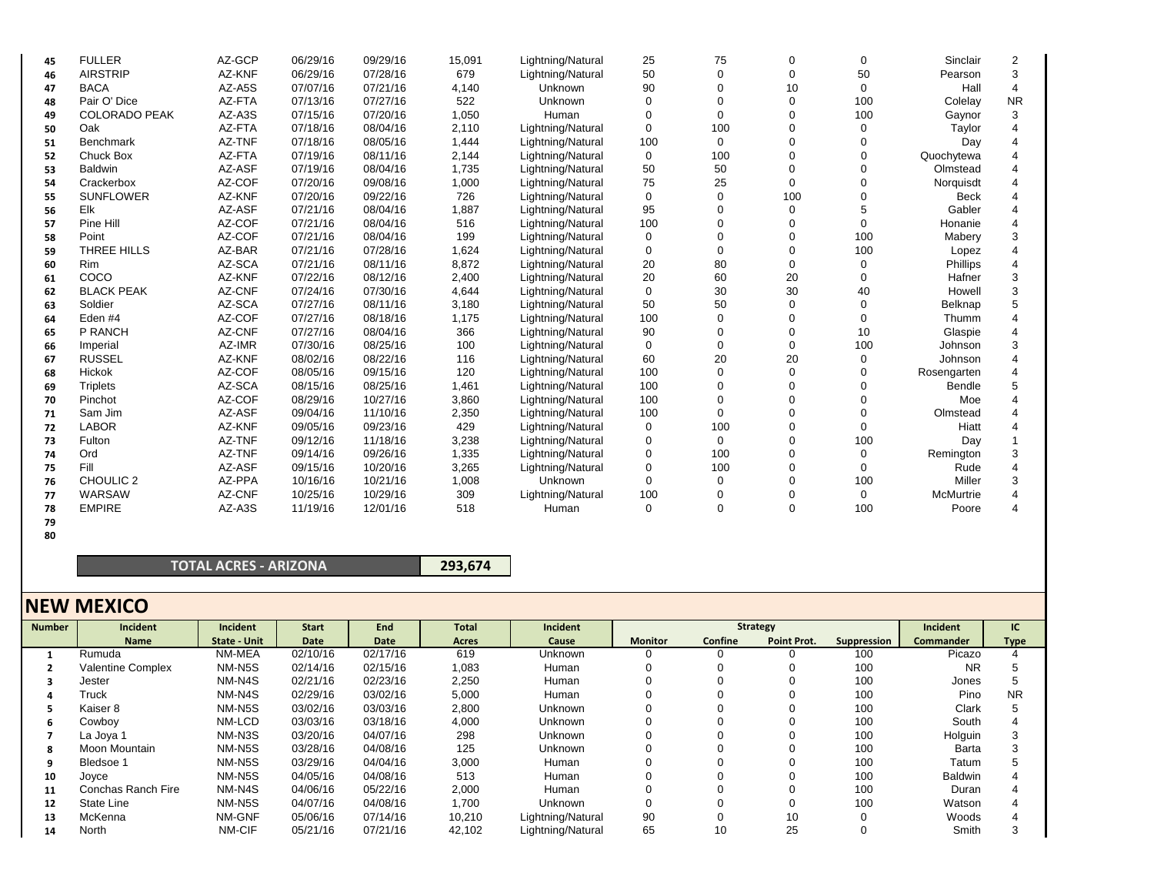| 45 | <b>FULLER</b>        | AZ-GCP | 06/29/16 | 09/29/16 | 15,091 | Lightning/Natural | 25  | 75       | 0            | 0           | Sinclair    | 2         |
|----|----------------------|--------|----------|----------|--------|-------------------|-----|----------|--------------|-------------|-------------|-----------|
| 46 | <b>AIRSTRIP</b>      | AZ-KNF | 06/29/16 | 07/28/16 | 679    | Lightning/Natural | 50  | ∩        | 0            | 50          | Pearson     | 3         |
| 47 | <b>BACA</b>          | AZ-A5S | 07/07/16 | 07/21/16 | 4,140  | Unknown           | 90  |          | 10           | $\Omega$    | Hall        | 4         |
| 48 | Pair O' Dice         | AZ-FTA | 07/13/16 | 07/27/16 | 522    | Unknown           | n   |          | 0            | 100         | Colelay     | <b>NR</b> |
| 49 | <b>COLORADO PEAK</b> | AZ-A3S | 07/15/16 | 07/20/16 | 1,050  | Human             | 0   |          |              | 100         | Gaynor      | 3         |
| 50 | Oak                  | AZ-FTA | 07/18/16 | 08/04/16 | 2,110  | Lightning/Natural | 0   | 100      | O            | 0           | Taylor      |           |
| 51 | <b>Benchmark</b>     | AZ-TNF | 07/18/16 | 08/05/16 | 1,444  | Lightning/Natural | 100 | 0        |              | $\Omega$    | Day         |           |
| 52 | <b>Chuck Box</b>     | AZ-FTA | 07/19/16 | 08/11/16 | 2,144  | Lightning/Natural | 0   | 100      |              |             | Quochytewa  |           |
| 53 | <b>Baldwin</b>       | AZ-ASF | 07/19/16 | 08/04/16 | 1,735  | Lightning/Natural | 50  | 50       |              | ∩           | Olmstead    |           |
| 54 | Crackerbox           | AZ-COF | 07/20/16 | 09/08/16 | 1,000  | Lightning/Natural | 75  | 25       | 0            |             | Norquisdt   |           |
| 55 | <b>SUNFLOWER</b>     | AZ-KNF | 07/20/16 | 09/22/16 | 726    | Lightning/Natural | 0   | $\Omega$ | 100          |             | <b>Beck</b> |           |
| 56 | Elk                  | AZ-ASF | 07/21/16 | 08/04/16 | 1,887  | Lightning/Natural | 95  |          | <sup>0</sup> |             | Gabler      |           |
| 57 | Pine Hill            | AZ-COF | 07/21/16 | 08/04/16 | 516    | Lightning/Natural | 100 |          |              | $\Omega$    | Honanie     |           |
| 58 | Point                | AZ-COF | 07/21/16 | 08/04/16 | 199    | Lightning/Natural | 0   |          |              | 100         | Mabery      | 3         |
| 59 | THREE HILLS          | AZ-BAR | 07/21/16 | 07/28/16 | 1,624  | Lightning/Natural | 0   |          |              | 100         | Lopez       |           |
| 60 | Rim                  | AZ-SCA | 07/21/16 | 08/11/16 | 8,872  | Lightning/Natural | 20  | 80       |              | 0           | Phillips    |           |
| 61 | COCO                 | AZ-KNF | 07/22/16 | 08/12/16 | 2,400  | Lightning/Natural | 20  | 60       | 20           | $\Omega$    | Hafner      | 3         |
| 62 | <b>BLACK PEAK</b>    | AZ-CNF | 07/24/16 | 07/30/16 | 4,644  | Lightning/Natural | 0   | 30       | 30           | 40          | Howell      | 3         |
| 63 | Soldier              | AZ-SCA | 07/27/16 | 08/11/16 | 3,180  | Lightning/Natural | 50  | 50       |              | $\Omega$    | Belknap     |           |
| 64 | Eden #4              | AZ-COF | 07/27/16 | 08/18/16 | 1,175  | Lightning/Natural | 100 |          |              | $\Omega$    | Thumm       |           |
| 65 | P RANCH              | AZ-CNF | 07/27/16 | 08/04/16 | 366    | Lightning/Natural | 90  |          |              | 10          | Glaspie     |           |
| 66 | Imperial             | AZ-IMR | 07/30/16 | 08/25/16 | 100    | Lightning/Natural | 0   | $\Omega$ | <sup>0</sup> | 100         | Johnson     | 3         |
| 67 | <b>RUSSEL</b>        | AZ-KNF | 08/02/16 | 08/22/16 | 116    | Lightning/Natural | 60  | 20       | 20           | $\mathbf 0$ | Johnson     |           |
| 68 | Hickok               | AZ-COF | 08/05/16 | 09/15/16 | 120    | Lightning/Natural | 100 |          | ∩            | ∩           | Rosengarten |           |
| 69 | <b>Triplets</b>      | AZ-SCA | 08/15/16 | 08/25/16 | 1,461  | Lightning/Natural | 100 |          |              |             | Bendle      |           |
| 70 | Pinchot              | AZ-COF | 08/29/16 | 10/27/16 | 3,860  | Lightning/Natural | 100 |          |              |             | Moe         |           |
| 71 | Sam Jim              | AZ-ASF | 09/04/16 | 11/10/16 | 2,350  | Lightning/Natural | 100 | $\Omega$ |              | ∩           | Olmstead    |           |
| 72 | <b>LABOR</b>         | AZ-KNF | 09/05/16 | 09/23/16 | 429    | Lightning/Natural | 0   | 100      |              | $\Omega$    | Hiatt       |           |
| 73 | Fulton               | AZ-TNF | 09/12/16 | 11/18/16 | 3,238  | Lightning/Natural | 0   | 0        |              | 100         | Day         |           |
| 74 | Ord                  | AZ-TNF | 09/14/16 | 09/26/16 | 1,335  | Lightning/Natural | 0   | 100      |              | $\Omega$    | Remington   | 3         |
| 75 | Fill                 | AZ-ASF | 09/15/16 | 10/20/16 | 3,265  | Lightning/Natural | 0   | 100      |              | $\Omega$    | Rude        |           |
| 76 | CHOULIC <sub>2</sub> | AZ-PPA | 10/16/16 | 10/21/16 | 1,008  | Unknown           | U   | ∩        |              | 100         | Miller      | 3         |
| 77 | WARSAW               | AZ-CNF | 10/25/16 | 10/29/16 | 309    | Lightning/Natural | 100 |          |              | $\Omega$    | McMurtrie   |           |
| 78 | <b>EMPIRE</b>        | AZ-A3S | 11/19/16 | 12/01/16 | 518    | Human             | 0   |          | U            | 100         | Poore       |           |

**7980**

## **TOTAL ACRES ‐ ARIZONA**

**293,674**

## **NEW MEXICO**

| <b>Number</b> | Incident                 | Incident     | <b>Start</b> | End      | <b>Total</b> | Incident          |                | Strategy | Incident     |             |                  |             |
|---------------|--------------------------|--------------|--------------|----------|--------------|-------------------|----------------|----------|--------------|-------------|------------------|-------------|
|               | <b>Name</b>              | State - Unit | Date         | Date     | Acres        | Cause             | <b>Monitor</b> | Confine  | Point Prot.  | Suppression | <b>Commander</b> | <b>Type</b> |
|               | Rumuda                   | NM-MEA       | 02/10/16     | 02/17/16 | 619          | Unknown           |                |          |              | 100         | Picazo           |             |
|               | <b>Valentine Complex</b> | NM-N5S       | 02/14/16     | 02/15/16 | 1,083        | Human             |                |          |              | 100         | <b>NR</b>        |             |
|               | Jester                   | NM-N4S       | 02/21/16     | 02/23/16 | 2,250        | Human             |                |          |              | 100         | Jones            |             |
|               | Truck                    | NM-N4S       | 02/29/16     | 03/02/16 | 5,000        | Human             |                |          |              | 100         | Pino             | <b>NR</b>   |
|               | Kaiser 8                 | NM-N5S       | 03/02/16     | 03/03/16 | 2,800        | Unknown           |                |          |              | 100         | Clark            |             |
| 6             | Cowboy                   | NM-LCD       | 03/03/16     | 03/18/16 | 4,000        | Unknown           |                |          |              | 100         | South            |             |
|               | La Joya 1                | NM-N3S       | 03/20/16     | 04/07/16 | 298          | Unknown           |                |          | $\mathbf{0}$ | 100         | Holguin          | 3           |
| 8             | Moon Mountain            | NM-N5S       | 03/28/16     | 04/08/16 | 125          | Unknown           |                |          |              | 100         | Barta            |             |
|               | Bledsoe 1                | NM-N5S       | 03/29/16     | 04/04/16 | 3,000        | Human             |                |          | 0            | 100         | Tatum            |             |
| 10            | Joyce                    | NM-N5S       | 04/05/16     | 04/08/16 | 513          | Human             |                |          | 0            | 100         | <b>Baldwin</b>   |             |
| 11            | Conchas Ranch Fire       | NM-N4S       | 04/06/16     | 05/22/16 | 2,000        | Human             |                |          |              | 100         | Duran            |             |
| 12            | State Line               | NM-N5S       | 04/07/16     | 04/08/16 | 1,700        | <b>Unknown</b>    |                |          | $\mathbf{0}$ | 100         | Watson           |             |
| 13            | McKenna                  | NM-GNF       | 05/06/16     | 07/14/16 | 10,210       | Lightning/Natural | 90             |          | 10           | 0           | Woods            |             |
| 14            | North                    | NM-CIF       | 05/21/16     | 07/21/16 | 42,102       | Lightning/Natural | 65             | 10       | 25           |             | Smith            |             |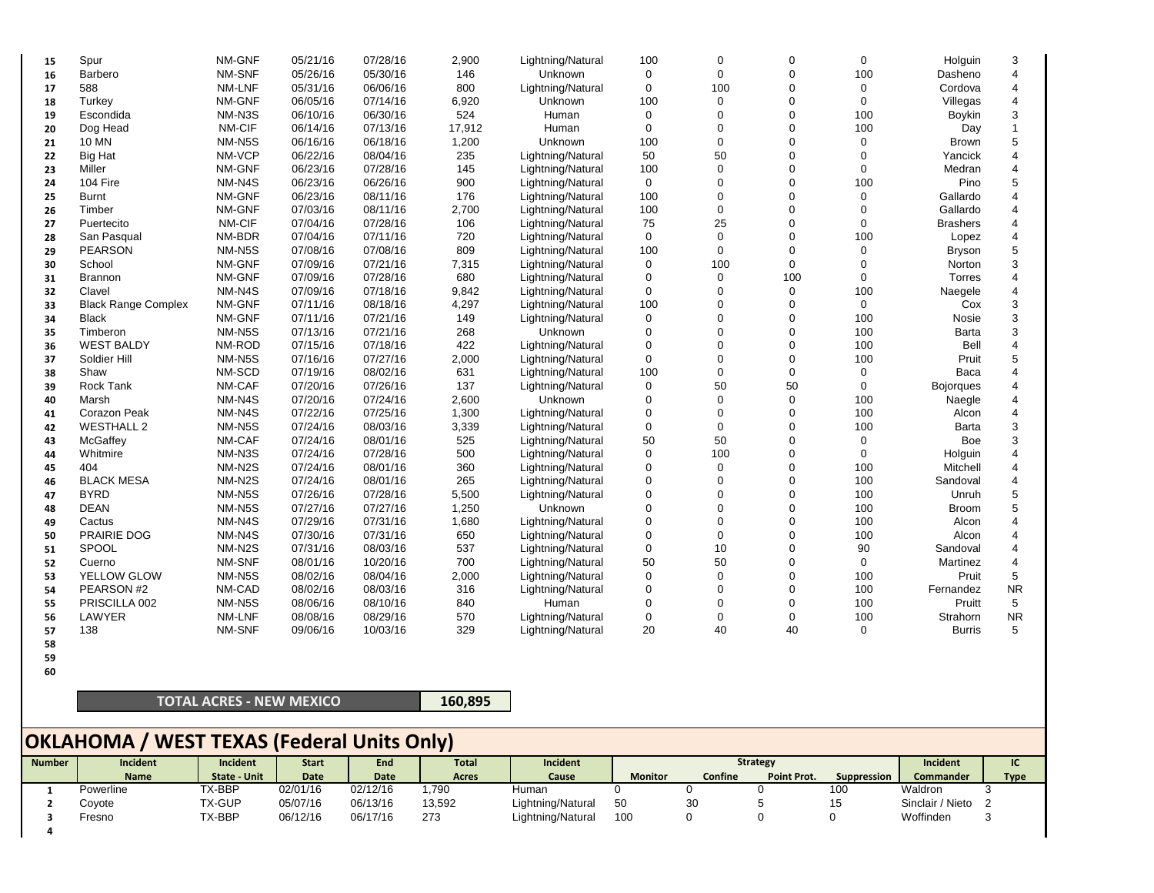| 15 | Spur                       | NM-GNF | 05/21/16 | 07/28/16 | 2,900  | Lightning/Natural | 100         | $\mathbf 0$ | $\Omega$       | 0   | Holguin          | 3              |
|----|----------------------------|--------|----------|----------|--------|-------------------|-------------|-------------|----------------|-----|------------------|----------------|
| 16 | Barbero                    | NM-SNF | 05/26/16 | 05/30/16 | 146    | Unknown           | 0           | $\Omega$    | $\Omega$       | 100 | Dasheno          |                |
| 17 | 588                        | NM-LNF | 05/31/16 | 06/06/16 | 800    | Lightning/Natural | $\Omega$    | 100         | $\Omega$       | 0   | Cordova          | 4              |
| 18 | Turkey                     | NM-GNF | 06/05/16 | 07/14/16 | 6,920  | Unknown           | 100         | $\mathbf 0$ | $\Omega$       | 0   | Villegas         |                |
| 19 | Escondida                  | NM-N3S | 06/10/16 | 06/30/16 | 524    | Human             | 0           | $\Omega$    | $\Omega$       | 100 | <b>Boykin</b>    | 3              |
| 20 | Dog Head                   | NM-CIF | 06/14/16 | 07/13/16 | 17,912 | Human             | $\Omega$    | $\Omega$    | $\Omega$       | 100 | Day              |                |
| 21 | 10 MN                      | NM-N5S | 06/16/16 | 06/18/16 | 1,200  | Unknown           | 100         | $\mathbf 0$ | $\Omega$       | 0   | Brown            | 5              |
| 22 | <b>Big Hat</b>             | NM-VCP | 06/22/16 | 08/04/16 | 235    | Lightning/Natural | 50          | 50          | $\Omega$       | 0   | Yancick          |                |
| 23 | Miller                     | NM-GNF | 06/23/16 | 07/28/16 | 145    | Lightning/Natural | 100         | $\Omega$    | $\Omega$       | 0   | Medran           |                |
| 24 | 104 Fire                   | NM-N4S | 06/23/16 | 06/26/16 | 900    | Lightning/Natural | 0           | $\Omega$    | $\Omega$       | 100 | Pino             | 5              |
| 25 | <b>Burnt</b>               | NM-GNF | 06/23/16 | 08/11/16 | 176    | Lightning/Natural | 100         | $\Omega$    | $\Omega$       | 0   | Gallardo         |                |
| 26 | Timber                     | NM-GNF | 07/03/16 | 08/11/16 | 2,700  | Lightning/Natural | 100         | $\mathbf 0$ | $\overline{0}$ | 0   | Gallardo         |                |
| 27 | Puertecito                 | NM-CIF | 07/04/16 | 07/28/16 | 106    | Lightning/Natural | 75          | 25          | $\Omega$       | 0   | <b>Brashers</b>  |                |
| 28 | San Pasqual                | NM-BDR | 07/04/16 | 07/11/16 | 720    | Lightning/Natural | $\mathbf 0$ | $\mathbf 0$ | $\Omega$       | 100 | Lopez            |                |
| 29 | <b>PEARSON</b>             | NM-N5S | 07/08/16 | 07/08/16 | 809    | Lightning/Natural | 100         | $\mathbf 0$ | $\Omega$       | 0   | <b>Bryson</b>    |                |
| 30 | School                     | NM-GNF | 07/09/16 | 07/21/16 | 7,315  | Lightning/Natural | 0           | 100         | 0              | 0   | Norton           | 3              |
| 31 | <b>Brannon</b>             | NM-GNF | 07/09/16 | 07/28/16 | 680    | Lightning/Natural | 0           | $\mathbf 0$ | 100            | 0   | Torres           |                |
| 32 | Clavel                     | NM-N4S | 07/09/16 | 07/18/16 | 9,842  | Lightning/Natural | $\Omega$    | $\mathbf 0$ | 0              | 100 | Naegele          |                |
| 33 | <b>Black Range Complex</b> | NM-GNF | 07/11/16 | 08/18/16 | 4,297  | Lightning/Natural | 100         | $\Omega$    | $\Omega$       | 0   | Cox              | 3              |
| 34 | <b>Black</b>               | NM-GNF | 07/11/16 | 07/21/16 | 149    | Lightning/Natural | 0           | $\Omega$    | $\Omega$       | 100 | Nosie            | 3              |
| 35 | Timberon                   | NM-N5S | 07/13/16 | 07/21/16 | 268    | Unknown           | $\Omega$    | $\Omega$    | $\Omega$       | 100 | Barta            | 3              |
| 36 | <b>WEST BALDY</b>          | NM-ROD | 07/15/16 | 07/18/16 | 422    | Lightning/Natural | 0           | $\Omega$    | $\Omega$       | 100 | Bell             | $\overline{4}$ |
| 37 | Soldier Hill               | NM-N5S | 07/16/16 | 07/27/16 | 2,000  | Lightning/Natural | 0           | $\Omega$    | $\Omega$       | 100 | Pruit            | 5              |
| 38 | Shaw                       | NM-SCD | 07/19/16 | 08/02/16 | 631    | Lightning/Natural | 100         | $\Omega$    | 0              | 0   | Baca             |                |
| 39 | <b>Rock Tank</b>           | NM-CAF | 07/20/16 | 07/26/16 | 137    | Lightning/Natural | $\Omega$    | 50          | 50             | 0   | <b>Bojorques</b> |                |
| 40 | Marsh                      | NM-N4S | 07/20/16 | 07/24/16 | 2,600  | Unknown           | $\Omega$    | $\mathbf 0$ | 0              | 100 | Naegle           |                |
| 41 | <b>Corazon Peak</b>        | NM-N4S | 07/22/16 | 07/25/16 | 1,300  | Lightning/Natural | 0           | $\Omega$    | $\Omega$       | 100 | Alcon            | $\overline{4}$ |
| 42 | <b>WESTHALL 2</b>          | NM-N5S | 07/24/16 | 08/03/16 | 3,339  | Lightning/Natural | 0           | $\Omega$    | $\Omega$       | 100 | Barta            | 3              |
| 43 | McGaffey                   | NM-CAF | 07/24/16 | 08/01/16 | 525    | Lightning/Natural | 50          | 50          | $\Omega$       | 0   | <b>Boe</b>       | 3              |
| 44 | Whitmire                   | NM-N3S | 07/24/16 | 07/28/16 | 500    | Lightning/Natural | 0           | 100         | $\Omega$       | 0   | Holguin          |                |
| 45 | 404                        | NM-N2S | 07/24/16 | 08/01/16 | 360    | Lightning/Natural | 0           | $\mathbf 0$ | $\Omega$       | 100 | Mitchell         |                |
| 46 | <b>BLACK MESA</b>          | NM-N2S | 07/24/16 | 08/01/16 | 265    | Lightning/Natural | 0           | $\Omega$    | $\Omega$       | 100 | Sandoval         |                |
| 47 | <b>BYRD</b>                | NM-N5S | 07/26/16 | 07/28/16 | 5,500  | Lightning/Natural | 0           | $\Omega$    | $\Omega$       | 100 | Unruh            | 5              |
| 48 | <b>DEAN</b>                | NM-N5S | 07/27/16 | 07/27/16 | 1,250  | Unknown           | $\Omega$    | $\Omega$    | $\Omega$       | 100 | <b>Broom</b>     | 5              |
| 49 | Cactus                     | NM-N4S | 07/29/16 | 07/31/16 | 1,680  | Lightning/Natural | 0           | $\Omega$    | 0              | 100 | Alcon            |                |
| 50 | PRAIRIE DOG                | NM-N4S | 07/30/16 | 07/31/16 | 650    | Lightning/Natural | $\Omega$    | $\Omega$    | $\Omega$       | 100 | Alcon            |                |
| 51 | SPOOL                      | NM-N2S | 07/31/16 | 08/03/16 | 537    | Lightning/Natural | 0           | 10          | $\Omega$       | 90  | Sandoval         |                |
| 52 | Cuerno                     | NM-SNF | 08/01/16 | 10/20/16 | 700    | Lightning/Natural | 50          | 50          | 0              | 0   | Martinez         | $\overline{4}$ |
| 53 | YELLOW GLOW                | NM-N5S | 08/02/16 | 08/04/16 | 2,000  | Lightning/Natural | 0           | $\mathbf 0$ | $\Omega$       | 100 | Pruit            | 5              |
| 54 | PEARSON #2                 | NM-CAD | 08/02/16 | 08/03/16 | 316    | Lightning/Natural | $\Omega$    | $\mathbf 0$ | $\Omega$       | 100 | Fernandez        | <b>NR</b>      |
| 55 | PRISCILLA 002              | NM-N5S | 08/06/16 | 08/10/16 | 840    | Human             | 0           | $\mathbf 0$ | $\Omega$       | 100 | Pruitt           | 5              |
| 56 | LAWYER                     | NM-LNF | 08/08/16 | 08/29/16 | 570    | Lightning/Natural | 0           | $\mathbf 0$ | 0              | 100 | Strahorn         | <b>NR</b>      |
| 57 | 138                        | NM-SNF | 09/06/16 | 10/03/16 | 329    | Lightning/Natural | 20          | 40          | 40             | 0   | <b>Burris</b>    | 5              |
|    |                            |        |          |          |        |                   |             |             |                |     |                  |                |

- **58 59**
- **60**

## **TOTAL ACRES ‐ NEW MEXICO**

**160,895**

# **OKLAHOMA / WEST TEXAS (Federal Units Only)**

| <b>Number</b> | Incident    | <b>Incident</b>     | <b>Start</b> | End         | <b>Total</b> | <b>Incident</b>   | <b>Strategy</b> |         |                    |             | Incident         | IC          |
|---------------|-------------|---------------------|--------------|-------------|--------------|-------------------|-----------------|---------|--------------------|-------------|------------------|-------------|
|               | <b>Name</b> | <b>State - Unit</b> | Date         | <b>Date</b> | Acres        | Cause             | <b>Monitor</b>  | Confine | <b>Point Prot.</b> | Suppression | <b>Commander</b> | <b>Type</b> |
|               | Powerline   | TX-BBP              | 02/01/16     | 02/12/16    | 1.790        | Human             |                 |         |                    | 100         | Waldron          |             |
|               | Coyote      | <b>TX-GUP</b>       | 05/07/16     | 06/13/16    | 13,592       | Lightning/Natural | 50              | 30      |                    | 15          | Sinclair / Nieto |             |
|               | Fresno      | TX-BBP              | 06/12/16     | 06/17/16    | 273          | Lightning/Natural | 100             |         |                    |             | Woffinden        |             |
|               |             |                     |              |             |              |                   |                 |         |                    |             |                  |             |